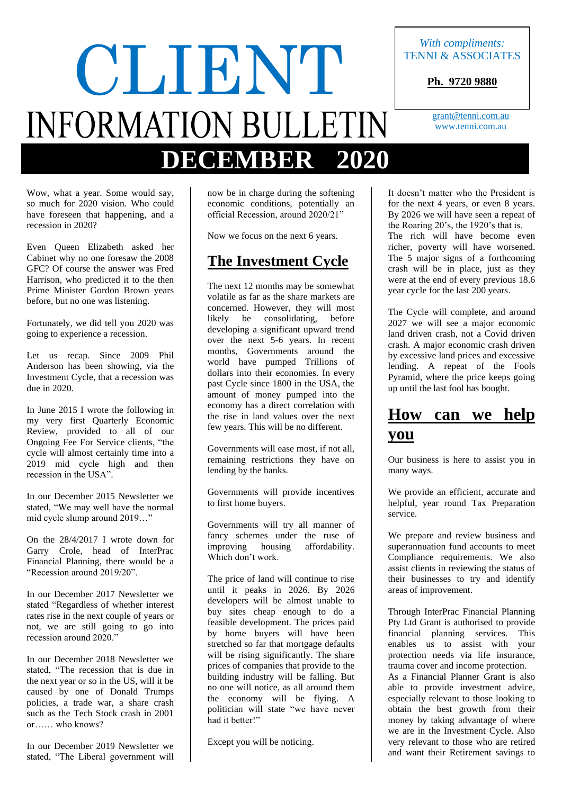# With compliments:<br>
TENNI & ASSOCIAT **INFORMATION BULLETIN DECEMBER 2020**

TENNI & ASSOCIATES

**Ph. 9720 9880**

[grant@tenni.com.au](mailto:grant@tenni.com.au) www.tenni.com.au

Wow, what a year. Some would say, so much for 2020 vision. Who could have foreseen that happening, and a recession in 2020?

Even Queen Elizabeth asked her Cabinet why no one foresaw the 2008 GFC? Of course the answer was Fred Harrison, who predicted it to the then Prime Minister Gordon Brown years before, but no one was listening.

Fortunately, we did tell you 2020 was going to experience a recession.

Let us recap. Since 2009 Phil Anderson has been showing, via the Investment Cycle, that a recession was due in 2020.

In June 2015 I wrote the following in my very first Quarterly Economic Review, provided to all of our Ongoing Fee For Service clients, "the cycle will almost certainly time into a 2019 mid cycle high and then recession in the USA".

In our December 2015 Newsletter we stated, "We may well have the normal mid cycle slump around 2019…"

On the 28/4/2017 I wrote down for Garry Crole, head of InterPrac Financial Planning, there would be a "Recession around 2019/20".

In our December 2017 Newsletter we stated "Regardless of whether interest rates rise in the next couple of years or not, we are still going to go into recession around 2020."

In our December 2018 Newsletter we stated, "The recession that is due in the next year or so in the US, will it be caused by one of Donald Trumps policies, a trade war, a share crash such as the Tech Stock crash in 2001 or…… who knows?

In our December 2019 Newsletter we stated, "The Liberal government will now be in charge during the softening economic conditions, potentially an official Recession, around 2020/21"

Now we focus on the next 6 years.

#### **The Investment Cycle**

The next 12 months may be somewhat volatile as far as the share markets are concerned. However, they will most likely be consolidating, before developing a significant upward trend over the next 5-6 years. In recent months, Governments around the world have pumped Trillions of dollars into their economies. In every past Cycle since 1800 in the USA, the amount of money pumped into the economy has a direct correlation with the rise in land values over the next few years. This will be no different.

Governments will ease most, if not all, remaining restrictions they have on lending by the banks.

Governments will provide incentives to first home buyers.

Governments will try all manner of fancy schemes under the ruse of improving housing affordability. Which don't work.

The price of land will continue to rise until it peaks in 2026. By 2026 developers will be almost unable to buy sites cheap enough to do a feasible development. The prices paid by home buyers will have been stretched so far that mortgage defaults will be rising significantly. The share prices of companies that provide to the building industry will be falling. But no one will notice, as all around them the economy will be flying. A politician will state "we have never had it better!"

Except you will be noticing.

It doesn't matter who the President is for the next 4 years, or even 8 years. By 2026 we will have seen a repeat of the Roaring 20's, the 1920's that is. The rich will have become even richer, poverty will have worsened. The 5 major signs of a forthcoming crash will be in place, just as they were at the end of every previous 18.6 year cycle for the last 200 years.

The Cycle will complete, and around 2027 we will see a major economic land driven crash, not a Covid driven crash. A major economic crash driven by excessive land prices and excessive lending. A repeat of the Fools Pyramid, where the price keeps going up until the last fool has bought.

### **How can we help you**

Our business is here to assist you in many ways.

We provide an efficient, accurate and helpful, year round Tax Preparation service.

We prepare and review business and superannuation fund accounts to meet Compliance requirements. We also assist clients in reviewing the status of their businesses to try and identify areas of improvement.

Through InterPrac Financial Planning Pty Ltd Grant is authorised to provide financial planning services. This enables us to assist with your protection needs via life insurance, trauma cover and income protection.

As a Financial Planner Grant is also able to provide investment advice, especially relevant to those looking to obtain the best growth from their money by taking advantage of where we are in the Investment Cycle. Also very relevant to those who are retired and want their Retirement savings to